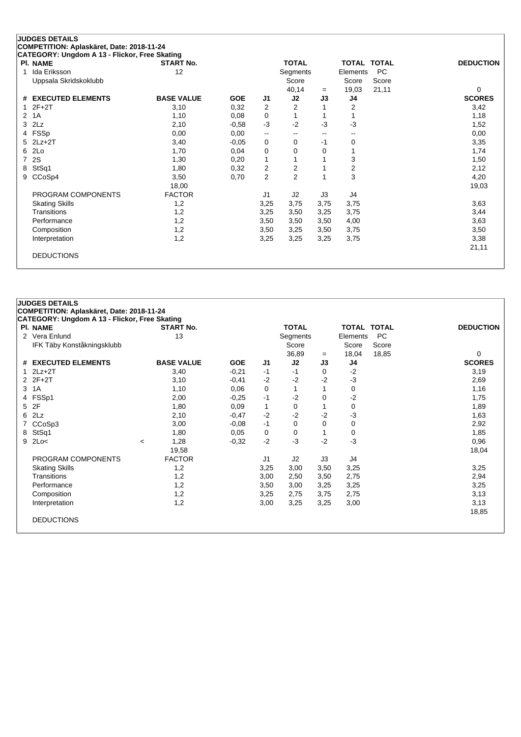| CATEGORY: Ungdom A 13 - Flickor, Free Skating |                   |            |                          |                |                          |                |             |                  |
|-----------------------------------------------|-------------------|------------|--------------------------|----------------|--------------------------|----------------|-------------|------------------|
| <b>PI. NAME</b>                               | <b>START No.</b>  |            |                          | <b>TOTAL</b>   |                          |                | TOTAL TOTAL | <b>DEDUCTION</b> |
| Ida Eriksson                                  | 12                |            |                          | Segments       |                          | Elements       | <b>PC</b>   |                  |
| Uppsala Skridskoklubb                         |                   |            |                          | Score          |                          | Score          | Score       |                  |
|                                               |                   |            |                          | 40,14          | $=$                      | 19,03          | 21,11       | 0                |
| # EXECUTED ELEMENTS                           | <b>BASE VALUE</b> | <b>GOE</b> | J <sub>1</sub>           | J2             | J3                       | J4             |             | <b>SCORES</b>    |
| $2F+2T$                                       | 3,10              | 0,32       | 2                        | 2              |                          | 2              |             | 3,42             |
| 2 1A                                          | 1,10              | 0,08       | 0                        |                |                          |                |             | 1,18             |
| $3$ $2Lz$                                     | 2,10              | $-0,58$    | $-3$                     | $-2$           | $-3$                     | -3             |             | 1,52             |
| 4 FSSp                                        | 0,00              | 0,00       | $\overline{\phantom{a}}$ | --             | $\overline{\phantom{m}}$ | --             |             | 0,00             |
| $5$ 2Lz+2T                                    | 3,40              | $-0,05$    | 0                        | 0              | $-1$                     | 0              |             | 3,35             |
| 6 2Lo                                         | 1,70              | 0,04       | 0                        | 0              | 0                        |                |             | 1,74             |
| 7 2S                                          | 1,30              | 0,20       | 1                        | 1              |                          | 3              |             | 1,50             |
| 8 StSq1                                       | 1,80              | 0,32       | 2                        | 2              |                          | $\overline{2}$ |             | 2,12             |
| 9 CCoSp4                                      | 3,50              | 0,70       | $\overline{2}$           | $\overline{2}$ |                          | 3              |             | 4,20             |
|                                               | 18,00             |            |                          |                |                          |                |             | 19,03            |
| PROGRAM COMPONENTS                            | <b>FACTOR</b>     |            | J1                       | J2             | J3                       | J4             |             |                  |
| <b>Skating Skills</b>                         | 1,2               |            | 3,25                     | 3,75           | 3,75                     | 3,75           |             | 3,63             |
| Transitions                                   | 1,2               |            | 3,25                     | 3,50           | 3,25                     | 3,75           |             | 3,44             |
| Performance                                   | 1,2               |            | 3,50                     | 3,50           | 3,50                     | 4,00           |             | 3,63             |
| Composition                                   | 1,2               |            | 3,50                     | 3,25           | 3,50                     | 3,75           |             | 3,50             |
| Interpretation                                | 1,2               |            | 3,25                     | 3,25           | 3,25                     | 3,75           |             | 3,38             |
|                                               |                   |            |                          |                |                          |                |             | 21,11            |
| <b>DEDUCTIONS</b>                             |                   |            |                          |                |                          |                |             |                  |
|                                               |                   |            |                          |                |                          |                |             |                  |

| <b>JUDGES DETAILS</b>                         |         |                   |            |      |              |      |                    |           |                  |  |  |
|-----------------------------------------------|---------|-------------------|------------|------|--------------|------|--------------------|-----------|------------------|--|--|
| COMPETITION: Aplaskäret, Date: 2018-11-24     |         |                   |            |      |              |      |                    |           |                  |  |  |
| CATEGORY: Ungdom A 13 - Flickor, Free Skating |         |                   |            |      |              |      |                    |           |                  |  |  |
| <b>PI. NAME</b>                               |         | <b>START No.</b>  |            |      | <b>TOTAL</b> |      | <b>TOTAL TOTAL</b> |           | <b>DEDUCTION</b> |  |  |
| 2 Vera Enlund                                 |         | 13                |            |      | Segments     |      | Elements           | <b>PC</b> |                  |  |  |
| IFK Täby Konståkningsklubb                    |         |                   |            |      | Score        |      | Score              | Score     |                  |  |  |
|                                               |         |                   |            |      | 36,89        | $=$  | 18,04              | 18,85     | 0                |  |  |
| # EXECUTED ELEMENTS                           |         | <b>BASE VALUE</b> | <b>GOE</b> | J1   | J2           | J3   | J4                 |           | <b>SCORES</b>    |  |  |
| $1$ $2Lz+2T$                                  |         | 3,40              | $-0,21$    | $-1$ | $-1$         | 0    | $-2$               |           | 3,19             |  |  |
| $2$ $2F+2T$                                   |         | 3,10              | $-0,41$    | $-2$ | $-2$         | $-2$ | -3                 |           | 2,69             |  |  |
| 3 1A                                          |         | 1,10              | 0,06       | 0    | 1            |      | 0                  |           | 1,16             |  |  |
| 4 FSSp1                                       |         | 2,00              | $-0,25$    | $-1$ | $-2$         | 0    | $-2$               |           | 1,75             |  |  |
| 5 2F                                          |         | 1,80              | 0,09       | 1    | 0            |      | $\Omega$           |           | 1,89             |  |  |
| 6 2Lz                                         |         | 2,10              | $-0,47$    | $-2$ | $-2$         | $-2$ | -3                 |           | 1,63             |  |  |
| 7 CCoSp3                                      |         | 3,00              | $-0,08$    | $-1$ | 0            | 0    | 0                  |           | 2,92             |  |  |
| 8 StSq1                                       |         | 1,80              | 0.05       | 0    | 0            |      | 0                  |           | 1,85             |  |  |
| $9$ 2Lo<                                      | $\prec$ | 1,28              | $-0,32$    | $-2$ | $-3$         | $-2$ | -3                 |           | 0,96             |  |  |
|                                               |         | 19,58             |            |      |              |      |                    |           | 18,04            |  |  |
| PROGRAM COMPONENTS                            |         | <b>FACTOR</b>     |            | J1   | J2           | J3   | J4                 |           |                  |  |  |
| <b>Skating Skills</b>                         |         | 1,2               |            | 3,25 | 3,00         | 3,50 | 3,25               |           | 3,25             |  |  |
| Transitions                                   |         | 1,2               |            | 3,00 | 2,50         | 3,50 | 2,75               |           | 2,94             |  |  |
| Performance                                   |         | 1,2               |            | 3,50 | 3,00         | 3,25 | 3,25               |           | 3,25             |  |  |
| Composition                                   |         | 1,2               |            | 3,25 | 2,75         | 3,75 | 2,75               |           | 3,13             |  |  |
| Interpretation                                |         | 1,2               |            | 3,00 | 3,25         | 3,25 | 3,00               |           | 3,13             |  |  |
|                                               |         |                   |            |      |              |      |                    |           | 18,85            |  |  |
| <b>DEDUCTIONS</b>                             |         |                   |            |      |              |      |                    |           |                  |  |  |
|                                               |         |                   |            |      |              |      |                    |           |                  |  |  |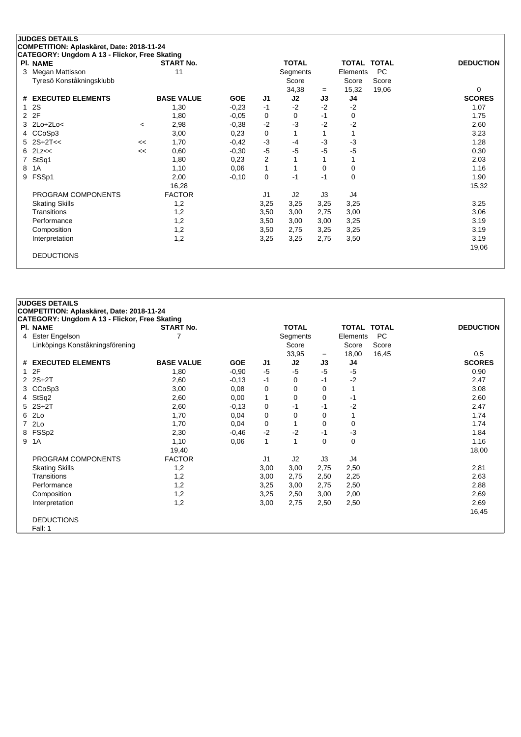|   | CATEGORY: Ungdom A 13 - Flickor, Free Skating |         |                   |            |                |              |      |          |             |                  |
|---|-----------------------------------------------|---------|-------------------|------------|----------------|--------------|------|----------|-------------|------------------|
|   | <b>PI. NAME</b>                               |         | <b>START No.</b>  |            |                | <b>TOTAL</b> |      |          | TOTAL TOTAL | <b>DEDUCTION</b> |
|   | 3 Megan Mattisson                             |         | 11                |            |                | Segments     |      | Elements | <b>PC</b>   |                  |
|   | Tyresö Konståkningsklubb                      |         |                   |            |                | Score        |      | Score    | Score       |                  |
|   |                                               |         |                   |            |                | 34,38        | $=$  | 15,32    | 19,06       | 0                |
|   | # EXECUTED ELEMENTS                           |         | <b>BASE VALUE</b> | <b>GOE</b> | J1             | J2           | J3   | J4       |             | <b>SCORES</b>    |
|   | 12S                                           |         | 1,30              | $-0,23$    | $-1$           | $-2$         | $-2$ | $-2$     |             | 1,07             |
|   | 2 2F                                          |         | 1,80              | $-0.05$    | 0              | 0            | $-1$ | 0        |             | 1,75             |
|   | $3$ 2Lo+2Lo<                                  | $\,<\,$ | 2,98              | $-0,38$    | $-2$           | $-3$         | $-2$ | $-2$     |             | 2,60             |
|   | 4 CCoSp3                                      |         | 3,00              | 0,23       | 0              |              |      |          |             | 3,23             |
|   | $5$ 2S+2T<<                                   | <<      | 1,70              | $-0,42$    | -3             | -4           | $-3$ | $-3$     |             | 1,28             |
|   | $6$ $2$ $L$ z $<$                             | <<      | 0,60              | $-0,30$    | $-5$           | $-5$         | $-5$ | -5       |             | 0,30             |
|   | 7 StSq1                                       |         | 1,80              | 0,23       | $\overline{2}$ |              |      |          |             | 2,03             |
| 8 | 1A                                            |         | 1,10              | 0,06       | 1              |              | 0    | 0        |             | 1,16             |
|   | 9 FSSp1                                       |         | 2,00              | $-0,10$    | 0              | $-1$         | $-1$ | $\Omega$ |             | 1,90             |
|   |                                               |         | 16,28             |            |                |              |      |          |             | 15,32            |
|   | PROGRAM COMPONENTS                            |         | <b>FACTOR</b>     |            | J1             | J2           | J3   | J4       |             |                  |
|   | <b>Skating Skills</b>                         |         | 1,2               |            | 3,25           | 3,25         | 3,25 | 3,25     |             | 3,25             |
|   | Transitions                                   |         | 1,2               |            | 3,50           | 3,00         | 2,75 | 3,00     |             | 3,06             |
|   | Performance                                   |         | 1,2               |            | 3,50           | 3,00         | 3,00 | 3,25     |             | 3,19             |
|   | Composition                                   |         | 1,2               |            | 3,50           | 2,75         | 3,25 | 3,25     |             | 3,19             |
|   | Interpretation                                |         | 1,2               |            | 3,25           | 3,25         | 2,75 | 3,50     |             | 3,19             |
|   |                                               |         |                   |            |                |              |      |          |             | 19,06            |
|   | <b>DEDUCTIONS</b>                             |         |                   |            |                |              |      |          |             |                  |
|   |                                               |         |                   |            |                |              |      |          |             |                  |

| <b>JUDGES DETAILS</b>                         |                   |            |              |              |          |                    |           |                  |
|-----------------------------------------------|-------------------|------------|--------------|--------------|----------|--------------------|-----------|------------------|
| COMPETITION: Aplaskäret, Date: 2018-11-24     |                   |            |              |              |          |                    |           |                  |
| CATEGORY: Ungdom A 13 - Flickor, Free Skating |                   |            |              |              |          |                    |           |                  |
| <b>PI. NAME</b>                               | <b>START No.</b>  |            |              | <b>TOTAL</b> |          | <b>TOTAL TOTAL</b> |           | <b>DEDUCTION</b> |
| 4 Ester Engelson                              |                   |            |              | Segments     |          | Elements           | <b>PC</b> |                  |
| Linköpings Konståkningsförening               |                   |            |              | Score        |          | Score              | Score     |                  |
|                                               |                   |            |              | 33,95        | $=$      | 18,00              | 16,45     | 0,5              |
| # EXECUTED ELEMENTS                           | <b>BASE VALUE</b> | <b>GOE</b> | J1           | J2           | J3       | J4                 |           | <b>SCORES</b>    |
| 12F                                           | 1,80              | $-0.90$    | $-5$         | $-5$         | $-5$     | $-5$               |           | 0,90             |
| 2 2S+2T                                       | 2,60              | $-0,13$    | $-1$         | 0            | $-1$     | $-2$               |           | 2,47             |
| 3 CCoSp3                                      | 3,00              | 0,08       | 0            | 0            | 0        |                    |           | 3,08             |
| 4 StSq2                                       | 2,60              | 0,00       | 1            | 0            | 0        | -1                 |           | 2,60             |
| $5$ $2S+2T$                                   | 2,60              | $-0,13$    | 0            | -1           | $-1$     | $-2$               |           | 2,47             |
| 6 2Lo                                         | 1,70              | 0,04       | 0            | 0            | $\Omega$ |                    |           | 1,74             |
| 7 2Lo                                         | 1,70              | 0,04       | 0            | 1            | $\Omega$ | $\Omega$           |           | 1,74             |
| 8 FSSp2                                       | 2,30              | $-0,46$    | $-2$         | $-2$         | $-1$     | $-3$               |           | 1,84             |
| 9 1A                                          | 1,10              | 0,06       | $\mathbf{1}$ | 1            | $\Omega$ | $\Omega$           |           | 1,16             |
|                                               | 19,40             |            |              |              |          |                    |           | 18,00            |
| PROGRAM COMPONENTS                            | <b>FACTOR</b>     |            | J1           | J2           | J3       | J4                 |           |                  |
| <b>Skating Skills</b>                         | 1,2               |            | 3,00         | 3,00         | 2,75     | 2,50               |           | 2,81             |
| Transitions                                   | 1,2               |            | 3,00         | 2,75         | 2,50     | 2,25               |           | 2,63             |
| Performance                                   | 1,2               |            | 3,25         | 3,00         | 2,75     | 2,50               |           | 2,88             |
| Composition                                   | 1,2               |            | 3,25         | 2,50         | 3,00     | 2,00               |           | 2,69             |
| Interpretation                                | 1,2               |            | 3,00         | 2,75         | 2,50     | 2,50               |           | 2,69             |
|                                               |                   |            |              |              |          |                    |           | 16,45            |
| <b>DEDUCTIONS</b>                             |                   |            |              |              |          |                    |           |                  |
| Fall: 1                                       |                   |            |              |              |          |                    |           |                  |
|                                               |                   |            |              |              |          |                    |           |                  |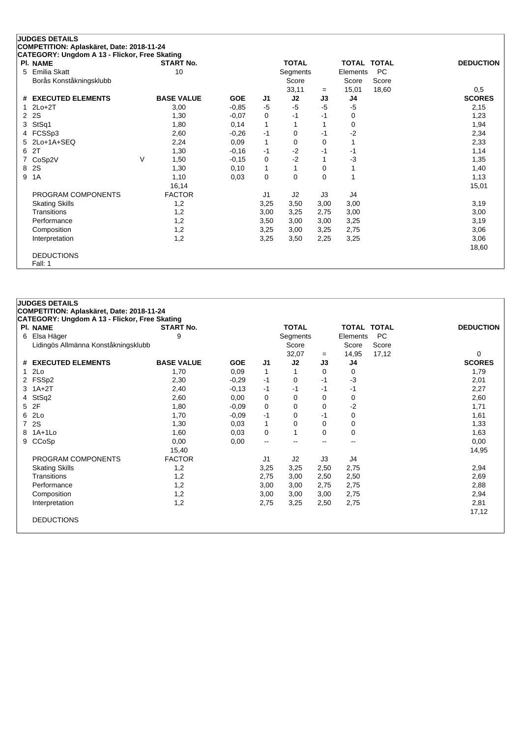# **JUDGES DETAILS COMPETITION: Aplaskäret, Date: 2018-11-24 CATEGORY: Ungdom A 13 - Flickor, Free Skating Pl. NAME START No. TOTAL TOTAL TOTAL DEDUCTION**

| 5 | Emilia Skatt<br>Borås Konståkningsklubb |        | 10                |            |              | Segments<br>Score |      | Elements<br>Score | PC<br>Score |               |
|---|-----------------------------------------|--------|-------------------|------------|--------------|-------------------|------|-------------------|-------------|---------------|
|   |                                         |        |                   |            |              | 33,11             | $=$  | 15,01             | 18,60       | 0,5           |
|   | # EXECUTED ELEMENTS                     |        | <b>BASE VALUE</b> | <b>GOE</b> | J1           | J2                | J3   | J4                |             | <b>SCORES</b> |
|   | $1$ $2Lo+2T$                            |        | 3,00              | $-0.85$    | $-5$         | $-5$              | $-5$ | $-5$              |             | 2,15          |
|   | 2 2 S                                   |        | 1,30              | $-0,07$    | 0            | $-1$              | -1   | 0                 |             | 1,23          |
|   | 3 StSq1                                 |        | 1,80              | 0,14       | 1            |                   |      | 0                 |             | 1,94          |
|   | 4 FCSSp3                                |        | 2,60              | $-0,26$    | -1           | 0                 | -1   | $-2$              |             | 2,34          |
|   | 5 2Lo+1A+SEQ                            |        | 2,24              | 0,09       | $\mathbf{1}$ | 0                 | 0    |                   |             | 2,33          |
|   | 6 2T                                    |        | 1,30              | $-0,16$    | $-1$         | $-2$              | $-1$ | -1                |             | 1,14          |
|   | 7 CoSp2V                                | $\vee$ | 1,50              | $-0,15$    | 0            | $-2$              |      | -3                |             | 1,35          |
|   | 8 2S                                    |        | 1,30              | 0,10       | 1            | 1                 | 0    | 1                 |             | 1,40          |
| 9 | 1A                                      |        | 1,10              | 0,03       | 0            | 0                 | 0    | 1                 |             | 1,13          |
|   |                                         |        | 16,14             |            |              |                   |      |                   |             | 15,01         |
|   | PROGRAM COMPONENTS                      |        | <b>FACTOR</b>     |            | J1           | J2                | J3   | J4                |             |               |
|   | <b>Skating Skills</b>                   |        | 1,2               |            | 3,25         | 3,50              | 3,00 | 3,00              |             | 3,19          |
|   | Transitions                             |        | 1,2               |            | 3,00         | 3,25              | 2,75 | 3,00              |             | 3,00          |
|   | Performance                             |        | 1,2               |            | 3,50         | 3,00              | 3,00 | 3,25              |             | 3,19          |
|   | Composition                             |        | 1,2               |            | 3,25         | 3,00              | 3,25 | 2,75              |             | 3,06          |
|   | Interpretation                          |        | 1,2               |            | 3,25         | 3,50              | 2,25 | 3,25              |             | 3,06          |
|   |                                         |        |                   |            |              |                   |      |                   |             | 18,60         |
|   | <b>DEDUCTIONS</b>                       |        |                   |            |              |                   |      |                   |             |               |
|   | Fall: 1                                 |        |                   |            |              |                   |      |                   |             |               |

| <b>JUDGES DETAILS</b><br>COMPETITION: Aplaskäret, Date: 2018-11-24 |                   |            |                          |              |      |             |           |                  |
|--------------------------------------------------------------------|-------------------|------------|--------------------------|--------------|------|-------------|-----------|------------------|
| CATEGORY: Ungdom A 13 - Flickor, Free Skating                      |                   |            |                          |              |      |             |           |                  |
| <b>PI. NAME</b>                                                    | <b>START No.</b>  |            |                          | <b>TOTAL</b> |      | TOTAL TOTAL |           | <b>DEDUCTION</b> |
| 6 Elsa Häger                                                       | 9                 |            |                          | Segments     |      | Elements    | <b>PC</b> |                  |
| Lidingös Allmänna Konståkningsklubb                                |                   |            |                          | Score        |      | Score       | Score     |                  |
|                                                                    |                   |            |                          | 32,07        | $=$  | 14,95       | 17,12     | 0                |
| # EXECUTED ELEMENTS                                                | <b>BASE VALUE</b> | <b>GOE</b> | J <sub>1</sub>           | J2           | J3   | J4          |           | <b>SCORES</b>    |
| 12Lo                                                               | 1,70              | 0,09       | 1                        |              | 0    | 0           |           | 1,79             |
| 2 FSSp2                                                            | 2,30              | $-0,29$    | $-1$                     | 0            | $-1$ | $-3$        |           | 2,01             |
| $3$ 1A+2T                                                          | 2,40              | $-0,13$    | -1                       | $-1$         | $-1$ | -1          |           | 2,27             |
| 4 StSq2                                                            | 2,60              | 0,00       | 0                        | 0            | 0    | 0           |           | 2,60             |
| 5 2F                                                               | 1,80              | $-0,09$    | 0                        | 0            | 0    | $-2$        |           | 1,71             |
| 6 2Lo                                                              | 1,70              | $-0,09$    | $-1$                     | 0            | $-1$ | 0           |           | 1,61             |
| 7 2S                                                               | 1,30              | 0,03       | $\mathbf{1}$             | 0            | 0    | 0           |           | 1,33             |
| 8 1A+1Lo                                                           | 1,60              | 0,03       | 0                        | 1            | 0    | 0           |           | 1,63             |
| 9 CCoSp                                                            | 0,00              | 0,00       | $\overline{\phantom{a}}$ | $- -$        | --   | --          |           | 0,00             |
|                                                                    | 15,40             |            |                          |              |      |             |           | 14,95            |
| PROGRAM COMPONENTS                                                 | <b>FACTOR</b>     |            | J <sub>1</sub>           | J2           | J3   | J4          |           |                  |
| <b>Skating Skills</b>                                              | 1,2               |            | 3,25                     | 3,25         | 2,50 | 2,75        |           | 2,94             |
| Transitions                                                        | 1,2               |            | 2,75                     | 3,00         | 2,50 | 2,50        |           | 2,69             |
| Performance                                                        | 1,2               |            | 3,00                     | 3,00         | 2,75 | 2,75        |           | 2,88             |
| Composition                                                        | 1,2               |            | 3,00                     | 3,00         | 3,00 | 2,75        |           | 2,94             |
| Interpretation                                                     | 1,2               |            | 2,75                     | 3,25         | 2,50 | 2,75        |           | 2,81             |
|                                                                    |                   |            |                          |              |      |             |           | 17,12            |
| <b>DEDUCTIONS</b>                                                  |                   |            |                          |              |      |             |           |                  |
|                                                                    |                   |            |                          |              |      |             |           |                  |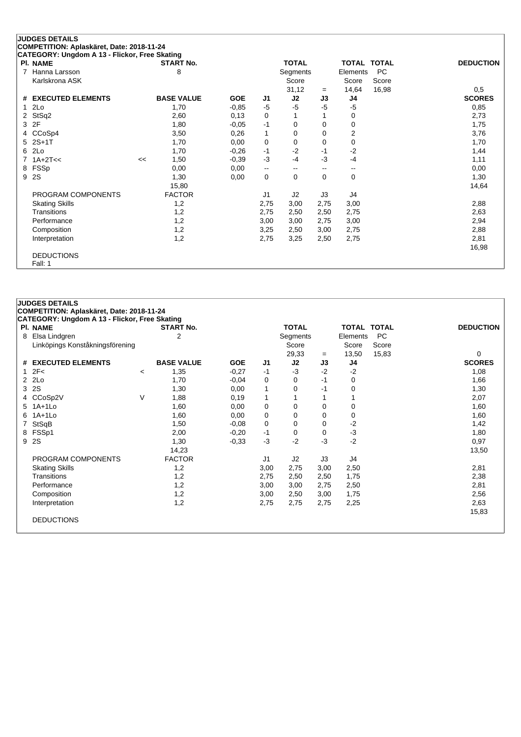| CATEGORY: Ungdom A 13 - Flickor, Free Skating |    |                   |            |                          |                          |      |          |                    |                  |
|-----------------------------------------------|----|-------------------|------------|--------------------------|--------------------------|------|----------|--------------------|------------------|
| <b>PI. NAME</b>                               |    | <b>START No.</b>  |            |                          | <b>TOTAL</b>             |      |          | <b>TOTAL TOTAL</b> | <b>DEDUCTION</b> |
| Hanna Larsson                                 |    | 8                 |            |                          | Segments                 |      | Elements | <b>PC</b>          |                  |
| Karlskrona ASK                                |    |                   |            |                          | Score                    |      | Score    | Score              |                  |
|                                               |    |                   |            |                          | 31,12                    | $=$  | 14,64    | 16,98              | 0,5              |
| # EXECUTED ELEMENTS                           |    | <b>BASE VALUE</b> | <b>GOE</b> | J1                       | J2                       | J3   | J4       |                    | <b>SCORES</b>    |
| 12Lo                                          |    | 1,70              | $-0.85$    | -5                       | -5                       | $-5$ | $-5$     |                    | 0,85             |
| 2 StSq2                                       |    | 2,60              | 0,13       | 0                        |                          |      | 0        |                    | 2,73             |
| 3 2F                                          |    | 1,80              | $-0,05$    | $-1$                     | 0                        | 0    | 0        |                    | 1,75             |
| 4 CCoSp4                                      |    | 3,50              | 0,26       | $\mathbf{1}$             | 0                        | 0    | 2        |                    | 3,76             |
| 5 2S+1T                                       |    | 1,70              | 0,00       | 0                        | 0                        | 0    | 0        |                    | 1,70             |
| 6 2Lo                                         |    | 1,70              | $-0.26$    | -1                       | $-2$                     | -1   | $-2$     |                    | 1,44             |
| $7.1A+2T<<$                                   | << | 1,50              | $-0.39$    | $-3$                     | -4                       | $-3$ | $-4$     |                    | 1,11             |
| 8 FSSp                                        |    | 0,00              | 0,00       | $\overline{\phantom{a}}$ | $\overline{\phantom{m}}$ | --   | --       |                    | 0,00             |
| 9 2S                                          |    | 1,30              | 0,00       | 0                        | $\mathbf 0$              | 0    | 0        |                    | 1,30             |
|                                               |    | 15,80             |            |                          |                          |      |          |                    | 14,64            |
| PROGRAM COMPONENTS                            |    | <b>FACTOR</b>     |            | J <sub>1</sub>           | J2                       | J3   | J4       |                    |                  |
| <b>Skating Skills</b>                         |    | 1,2               |            | 2,75                     | 3,00                     | 2,75 | 3,00     |                    | 2,88             |
| Transitions                                   |    | 1,2               |            | 2,75                     | 2,50                     | 2,50 | 2,75     |                    | 2,63             |
| Performance                                   |    | 1,2               |            | 3,00                     | 3,00                     | 2,75 | 3,00     |                    | 2,94             |
| Composition                                   |    | 1,2               |            | 3,25                     | 2,50                     | 3,00 | 2,75     |                    | 2,88             |
| Interpretation                                |    | 1,2               |            | 2,75                     | 3,25                     | 2,50 | 2,75     |                    | 2,81             |
|                                               |    |                   |            |                          |                          |      |          |                    | 16,98            |
| <b>DEDUCTIONS</b>                             |    |                   |            |                          |                          |      |          |                    |                  |
| Fall: 1                                       |    |                   |            |                          |                          |      |          |                    |                  |

|   | <b>JUDGES DETAILS</b>                         |         |                   |            |                |              |           |             |           |                    |
|---|-----------------------------------------------|---------|-------------------|------------|----------------|--------------|-----------|-------------|-----------|--------------------|
|   | COMPETITION: Aplaskäret, Date: 2018-11-24     |         |                   |            |                |              |           |             |           |                    |
|   | CATEGORY: Ungdom A 13 - Flickor, Free Skating |         |                   |            |                |              |           |             |           |                    |
|   | <b>PI. NAME</b>                               |         | <b>START No.</b>  |            |                | <b>TOTAL</b> |           | TOTAL TOTAL |           | <b>DEDUCTION</b>   |
| 8 | Elsa Lindgren                                 |         | 2                 |            |                | Segments     |           | Elements    | <b>PC</b> |                    |
|   | Linköpings Konståkningsförening               |         |                   |            |                | Score        |           | Score       | Score     |                    |
|   | # EXECUTED ELEMENTS                           |         | <b>BASE VALUE</b> | <b>GOE</b> | J <sub>1</sub> | 29,33<br>J2  | $=$<br>J3 | 13,50       | 15,83     | 0<br><b>SCORES</b> |
|   | 12F<                                          |         |                   |            | $-1$           | $-3$         | $-2$      | J4<br>$-2$  |           |                    |
|   | $2$ $2Lo$                                     | $\,<\,$ | 1,35<br>1,70      | $-0,27$    | 0              | 0            | $-1$      | 0           |           | 1,08               |
|   | 3 2S                                          |         |                   | $-0,04$    |                |              | $-1$      |             |           | 1,66               |
|   |                                               |         | 1,30              | 0,00       | 1              | 0            |           | 0           |           | 1,30               |
|   | 4 CCoSp2V                                     | $\vee$  | 1,88              | 0,19       | 1              | 1            |           |             |           | 2,07               |
|   | 5 1A+1Lo                                      |         | 1,60              | 0,00       | 0              | 0            | 0         | 0           |           | 1,60               |
|   | 6 1A+1Lo                                      |         | 1,60              | 0,00       | 0              | 0            | 0         | 0           |           | 1,60               |
|   | StSqB                                         |         | 1,50              | $-0.08$    | 0              | 0            | 0         | $-2$        |           | 1,42               |
|   | 8 FSSp1                                       |         | 2,00              | $-0,20$    | $-1$           | 0            | $\Omega$  | $-3$        |           | 1,80               |
|   | 9 2S                                          |         | 1,30              | $-0,33$    | $-3$           | $-2$         | $-3$      | $-2$        |           | 0,97               |
|   |                                               |         | 14,23             |            |                |              |           |             |           | 13,50              |
|   | PROGRAM COMPONENTS                            |         | <b>FACTOR</b>     |            | J1             | J2           | J3        | J4          |           |                    |
|   | <b>Skating Skills</b>                         |         | 1,2               |            | 3,00           | 2,75         | 3,00      | 2,50        |           | 2,81               |
|   | Transitions                                   |         | 1,2               |            | 2,75           | 2,50         | 2,50      | 1,75        |           | 2,38               |
|   | Performance                                   |         | 1,2               |            | 3,00           | 3,00         | 2,75      | 2,50        |           | 2,81               |
|   | Composition                                   |         | 1,2               |            | 3,00           | 2,50         | 3,00      | 1,75        |           | 2,56               |
|   | Interpretation                                |         | 1,2               |            | 2,75           | 2,75         | 2,75      | 2,25        |           | 2,63               |
|   |                                               |         |                   |            |                |              |           |             |           | 15,83              |
|   | <b>DEDUCTIONS</b>                             |         |                   |            |                |              |           |             |           |                    |
|   |                                               |         |                   |            |                |              |           |             |           |                    |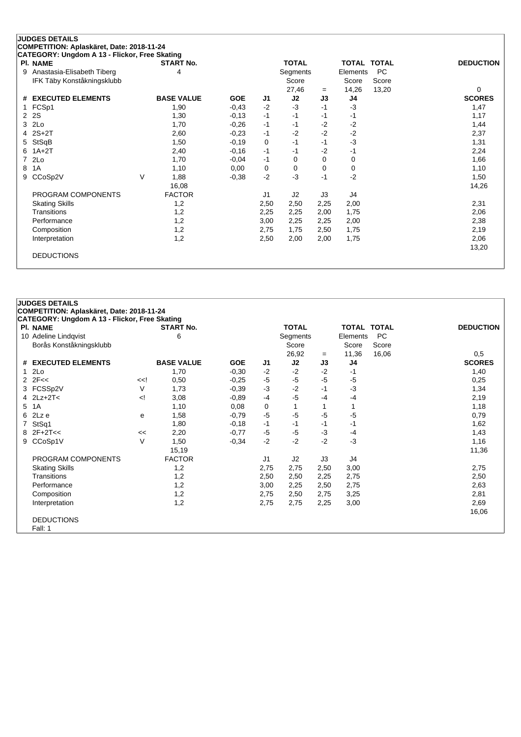|   | <b>PI. NAME</b>              |   | <b>START No.</b>  |            |                | <b>TOTAL</b> |      | <b>TOTAL TOTAL</b> |           | <b>DEDUCTION</b> |
|---|------------------------------|---|-------------------|------------|----------------|--------------|------|--------------------|-----------|------------------|
|   | 9 Anastasia-Elisabeth Tiberg |   | 4                 |            |                | Segments     |      | Elements           | <b>PC</b> |                  |
|   | IFK Täby Konståkningsklubb   |   |                   |            |                | Score        |      | Score              | Score     |                  |
|   |                              |   |                   |            |                | 27,46        | $=$  | 14,26              | 13,20     | 0                |
|   | # EXECUTED ELEMENTS          |   | <b>BASE VALUE</b> | <b>GOE</b> | J <sub>1</sub> | J2           | J3   | J4                 |           | <b>SCORES</b>    |
|   | 1 FCSp1                      |   | 1,90              | $-0,43$    | $-2$           | $-3$         | $-1$ | $-3$               |           | 1,47             |
|   | 2 2 S                        |   | 1,30              | $-0,13$    | $-1$           | $-1$         | -1   | -1                 |           | 1,17             |
|   | 3 2Lo                        |   | 1,70              | $-0,26$    | -1             | $-1$         | $-2$ | $-2$               |           | 1,44             |
|   | $4$ 2S+2T                    |   | 2,60              | $-0,23$    | -1             | $-2$         | $-2$ | $-2$               |           | 2,37             |
|   | 5 StSqB                      |   | 1,50              | $-0,19$    | 0              | $-1$         | $-1$ | $-3$               |           | 1,31             |
|   | $6$ 1A+2T                    |   | 2,40              | $-0,16$    | -1             | -1           | $-2$ | -1                 |           | 2,24             |
|   | 7 2Lo                        |   | 1,70              | $-0.04$    | -1             | 0            | 0    | 0                  |           | 1,66             |
| 8 | 1A                           |   | 1,10              | 0,00       | 0              | 0            | 0    | 0                  |           | 1,10             |
|   | 9 CCoSp2V                    | V | 1,88              | $-0,38$    | $-2$           | -3           | $-1$ | $-2$               |           | 1,50             |
|   |                              |   | 16,08             |            |                |              |      |                    |           | 14,26            |
|   | PROGRAM COMPONENTS           |   | <b>FACTOR</b>     |            | J <sub>1</sub> | J2           | J3   | J4                 |           |                  |
|   | <b>Skating Skills</b>        |   | 1,2               |            | 2,50           | 2,50         | 2,25 | 2,00               |           | 2,31             |
|   | <b>Transitions</b>           |   | 1,2               |            | 2,25           | 2,25         | 2,00 | 1,75               |           | 2,06             |
|   | Performance                  |   | 1,2               |            | 3,00           | 2,25         | 2,25 | 2,00               |           | 2,38             |
|   | Composition                  |   | 1,2               |            | 2,75           | 1,75         | 2,50 | 1,75               |           | 2,19             |
|   | Interpretation               |   | 1,2               |            | 2,50           | 2,00         | 2,00 | 1,75               |           | 2,06             |
|   |                              |   |                   |            |                |              |      |                    |           | 13,20            |
|   | <b>DEDUCTIONS</b>            |   |                   |            |                |              |      |                    |           |                  |

| <b>JUDGES DETAILS</b> |                                               |                                                                                                                                                                              |                   |            |                |              |      |                    |           |                  |
|-----------------------|-----------------------------------------------|------------------------------------------------------------------------------------------------------------------------------------------------------------------------------|-------------------|------------|----------------|--------------|------|--------------------|-----------|------------------|
|                       | COMPETITION: Aplaskäret, Date: 2018-11-24     |                                                                                                                                                                              |                   |            |                |              |      |                    |           |                  |
|                       | CATEGORY: Ungdom A 13 - Flickor, Free Skating |                                                                                                                                                                              |                   |            |                |              |      |                    |           |                  |
|                       | <b>PI. NAME</b>                               |                                                                                                                                                                              | <b>START No.</b>  |            |                | <b>TOTAL</b> |      | <b>TOTAL TOTAL</b> |           | <b>DEDUCTION</b> |
|                       | 10 Adeline Lindqvist                          |                                                                                                                                                                              | 6                 |            |                | Segments     |      | Elements           | <b>PC</b> |                  |
|                       | Borås Konståkningsklubb                       |                                                                                                                                                                              |                   |            |                | Score        |      | Score              | Score     |                  |
|                       |                                               |                                                                                                                                                                              |                   |            |                | 26,92        | $=$  | 11,36              | 16,06     | 0,5              |
|                       | # EXECUTED ELEMENTS                           |                                                                                                                                                                              | <b>BASE VALUE</b> | <b>GOE</b> | J1             | J2           | J3   | J4                 |           | <b>SCORES</b>    |
|                       | 2 <sub>LO</sub>                               |                                                                                                                                                                              | 1,70              | $-0,30$    | $-2$           | $-2$         | $-2$ | $-1$               |           | 1,40             |
|                       | $2$ $2F <$                                    | < </td <td>0,50</td> <td><math>-0,25</math></td> <td><math>-5</math></td> <td><math>-5</math></td> <td><math>-5</math></td> <td><math>-5</math></td> <td></td> <td>0,25</td> | 0,50              | $-0,25$    | $-5$           | $-5$         | $-5$ | $-5$               |           | 0,25             |
|                       | 3 FCSSp2V                                     | $\vee$                                                                                                                                                                       | 1,73              | $-0,39$    | $-3$           | $-2$         | $-1$ | -3                 |           | 1,34             |
|                       | 4 $2Lz+2T<$                                   | $\leq$                                                                                                                                                                       | 3,08              | $-0,89$    | $-4$           | $-5$         | $-4$ | -4                 |           | 2,19             |
|                       | 5 1A                                          |                                                                                                                                                                              | 1,10              | 0,08       | 0              | 1            |      |                    |           | 1,18             |
|                       | $6$ 2Lz e                                     | е                                                                                                                                                                            | 1,58              | $-0,79$    | $-5$           | $-5$         | $-5$ | -5                 |           | 0,79             |
|                       | 7 StSq1                                       |                                                                                                                                                                              | 1,80              | $-0,18$    | $-1$           | -1           | $-1$ | -1                 |           | 1,62             |
|                       | $8$ 2F+2T<<                                   | <<                                                                                                                                                                           | 2,20              | $-0,77$    | $-5$           | $-5$         | $-3$ | $-4$               |           | 1,43             |
|                       | 9 CCoSp1V                                     | $\vee$                                                                                                                                                                       | 1,50              | $-0,34$    | $-2$           | $-2$         | $-2$ | $-3$               |           | 1,16             |
|                       |                                               |                                                                                                                                                                              | 15,19             |            |                |              |      |                    |           | 11,36            |
|                       | PROGRAM COMPONENTS                            |                                                                                                                                                                              | <b>FACTOR</b>     |            | J <sub>1</sub> | J2           | J3   | J4                 |           |                  |
|                       | <b>Skating Skills</b>                         |                                                                                                                                                                              | 1,2               |            | 2,75           | 2,75         | 2,50 | 3,00               |           | 2,75             |
|                       | Transitions                                   |                                                                                                                                                                              | 1,2               |            | 2,50           | 2,50         | 2,25 | 2,75               |           | 2,50             |
|                       | Performance                                   |                                                                                                                                                                              | 1,2               |            | 3,00           | 2,25         | 2,50 | 2,75               |           | 2,63             |
|                       | Composition                                   |                                                                                                                                                                              | 1,2               |            | 2,75           | 2,50         | 2,75 | 3,25               |           | 2,81             |
|                       | Interpretation                                |                                                                                                                                                                              | 1,2               |            | 2,75           | 2,75         | 2,25 | 3,00               |           | 2,69             |
|                       |                                               |                                                                                                                                                                              |                   |            |                |              |      |                    |           | 16,06            |
|                       | <b>DEDUCTIONS</b>                             |                                                                                                                                                                              |                   |            |                |              |      |                    |           |                  |
|                       | Fall: 1                                       |                                                                                                                                                                              |                   |            |                |              |      |                    |           |                  |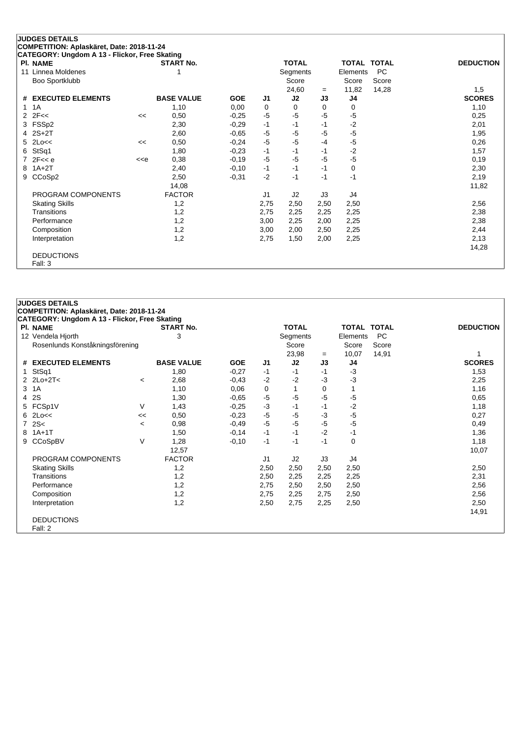| CATEGORY: Ungdom A 13 - Flickor, Free Skating |                                                                                                                                                                    |                   |            |                |              |      |                    |           |                  |
|-----------------------------------------------|--------------------------------------------------------------------------------------------------------------------------------------------------------------------|-------------------|------------|----------------|--------------|------|--------------------|-----------|------------------|
| <b>PI. NAME</b>                               |                                                                                                                                                                    | <b>START No.</b>  |            |                | <b>TOTAL</b> |      | <b>TOTAL TOTAL</b> |           | <b>DEDUCTION</b> |
| 11 Linnea Moldenes                            |                                                                                                                                                                    |                   |            |                | Segments     |      | Elements           | <b>PC</b> |                  |
| Boo Sportklubb                                |                                                                                                                                                                    |                   |            |                | Score        |      | Score              | Score     |                  |
|                                               |                                                                                                                                                                    |                   |            |                | 24,60        | $=$  | 11,82              | 14,28     | 1,5              |
| # EXECUTED ELEMENTS                           |                                                                                                                                                                    | <b>BASE VALUE</b> | <b>GOE</b> | J1             | J2           | J3   | J4                 |           | <b>SCORES</b>    |
| 1 1 A                                         |                                                                                                                                                                    | 1,10              | 0,00       | 0              | 0            | 0    | 0                  |           | 1,10             |
| $2$ $2F <$                                    | <<                                                                                                                                                                 | 0,50              | $-0.25$    | $-5$           | -5           | -5   | $-5$               |           | 0,25             |
| 3 FSSp2                                       |                                                                                                                                                                    | 2,30              | $-0,29$    | -1             | -1           | $-1$ | $-2$               |           | 2,01             |
| $4$ $2S+2T$                                   |                                                                                                                                                                    | 2,60              | $-0.65$    | $-5$           | -5           | $-5$ | $-5$               |           | 1,95             |
| $5$ 2Lo<<                                     | <<                                                                                                                                                                 | 0,50              | $-0,24$    | $-5$           | $-5$         | $-4$ | $-5$               |           | 0,26             |
| 6 StSq1                                       |                                                                                                                                                                    | 1,80              | $-0,23$    | $-1$           | $-1$         | $-1$ | $-2$               |           | 1,57             |
| $7$ 2F<< e                                    | < <e< td=""><td>0,38</td><td><math>-0,19</math></td><td><math>-5</math></td><td>-5</td><td><math>-5</math></td><td><math>-5</math></td><td></td><td>0,19</td></e<> | 0,38              | $-0,19$    | $-5$           | -5           | $-5$ | $-5$               |           | 0,19             |
| 8 1A+2T                                       |                                                                                                                                                                    | 2,40              | $-0,10$    | $-1$           | $-1$         | $-1$ | 0                  |           | 2,30             |
| 9 CCoSp2                                      |                                                                                                                                                                    | 2,50              | $-0,31$    | $-2$           | $-1$         | -1   | $-1$               |           | 2,19             |
|                                               |                                                                                                                                                                    | 14,08             |            |                |              |      |                    |           | 11,82            |
| PROGRAM COMPONENTS                            |                                                                                                                                                                    | <b>FACTOR</b>     |            | J <sub>1</sub> | J2           | J3   | J4                 |           |                  |
| <b>Skating Skills</b>                         |                                                                                                                                                                    | 1,2               |            | 2,75           | 2,50         | 2,50 | 2,50               |           | 2,56             |
| Transitions                                   |                                                                                                                                                                    | 1,2               |            | 2,75           | 2,25         | 2,25 | 2,25               |           | 2,38             |
| Performance                                   |                                                                                                                                                                    | 1,2               |            | 3,00           | 2,25         | 2,00 | 2,25               |           | 2,38             |
| Composition                                   |                                                                                                                                                                    | 1,2               |            | 3,00           | 2,00         | 2,50 | 2,25               |           | 2,44             |
| Interpretation                                |                                                                                                                                                                    | 1,2               |            | 2,75           | 1,50         | 2,00 | 2,25               |           | 2,13             |
|                                               |                                                                                                                                                                    |                   |            |                |              |      |                    |           | 14,28            |
| <b>DEDUCTIONS</b>                             |                                                                                                                                                                    |                   |            |                |              |      |                    |           |                  |
| Fall: 3                                       |                                                                                                                                                                    |                   |            |                |              |      |                    |           |                  |

|   | <b>JUDGES DETAILS</b>                         |                          |                   |            |      |              |      |             |           |                  |
|---|-----------------------------------------------|--------------------------|-------------------|------------|------|--------------|------|-------------|-----------|------------------|
|   | COMPETITION: Aplaskäret, Date: 2018-11-24     |                          |                   |            |      |              |      |             |           |                  |
|   | CATEGORY: Ungdom A 13 - Flickor, Free Skating |                          |                   |            |      |              |      |             |           |                  |
|   | PI. NAME                                      |                          | <b>START No.</b>  |            |      | <b>TOTAL</b> |      | TOTAL TOTAL |           | <b>DEDUCTION</b> |
|   | 12 Vendela Hjorth                             |                          | 3                 |            |      | Segments     |      | Elements    | <b>PC</b> |                  |
|   | Rosenlunds Konståkningsförening               |                          |                   |            |      | Score        |      | Score       | Score     |                  |
|   |                                               |                          |                   |            |      | 23,98        | $=$  | 10,07       | 14,91     |                  |
|   | # EXECUTED ELEMENTS                           |                          | <b>BASE VALUE</b> | <b>GOE</b> | J1   | J2           | J3   | J4          |           | <b>SCORES</b>    |
|   | 1 StSq1                                       |                          | 1,80              | $-0,27$    | -1   | $-1$         | $-1$ | $-3$        |           | 1,53             |
|   | 2 $2$ $2$ $2$ $-2$ $-2$ $-7$ $<$              | $\overline{\phantom{a}}$ | 2,68              | $-0,43$    | $-2$ | $-2$         | $-3$ | $-3$        |           | 2,25             |
|   | 3 1A                                          |                          | 1,10              | 0,06       | 0    | 1            | 0    |             |           | 1,16             |
|   | 4 2S                                          |                          | 1,30              | $-0,65$    | -5   | $-5$         | $-5$ | $-5$        |           | 0,65             |
|   | 5 FCSp1V                                      | V                        | 1,43              | $-0,25$    | $-3$ | $-1$         | $-1$ | $-2$        |           | 1,18             |
|   | $6$ 2Lo $<<$                                  | <<                       | 0,50              | $-0,23$    | $-5$ | $-5$         | $-3$ | $-5$        |           | 0,27             |
|   | 72S<                                          | $\overline{\phantom{a}}$ | 0,98              | $-0,49$    | $-5$ | $-5$         | $-5$ | $-5$        |           | 0,49             |
| 8 | $1A+1T$                                       |                          | 1,50              | $-0,14$    | $-1$ | $-1$         | $-2$ | $-1$        |           | 1,36             |
|   | 9 CCoSpBV                                     | $\vee$                   | 1,28              | $-0,10$    | $-1$ | $-1$         | $-1$ | $\Omega$    |           | 1,18             |
|   |                                               |                          | 12,57             |            |      |              |      |             |           | 10,07            |
|   | PROGRAM COMPONENTS                            |                          | <b>FACTOR</b>     |            | J1   | J2           | J3   | J4          |           |                  |
|   | <b>Skating Skills</b>                         |                          | 1,2               |            | 2,50 | 2,50         | 2,50 | 2,50        |           | 2,50             |
|   | Transitions                                   |                          | 1,2               |            | 2,50 | 2,25         | 2,25 | 2,25        |           | 2,31             |
|   | Performance                                   |                          | 1,2               |            | 2,75 | 2,50         | 2,50 | 2,50        |           | 2,56             |
|   | Composition                                   |                          | 1,2               |            | 2,75 | 2,25         | 2,75 | 2,50        |           | 2,56             |
|   | Interpretation                                |                          | 1,2               |            | 2,50 | 2,75         | 2,25 | 2,50        |           | 2,50             |
|   |                                               |                          |                   |            |      |              |      |             |           | 14,91            |
|   | <b>DEDUCTIONS</b>                             |                          |                   |            |      |              |      |             |           |                  |
|   | Fall: 2                                       |                          |                   |            |      |              |      |             |           |                  |